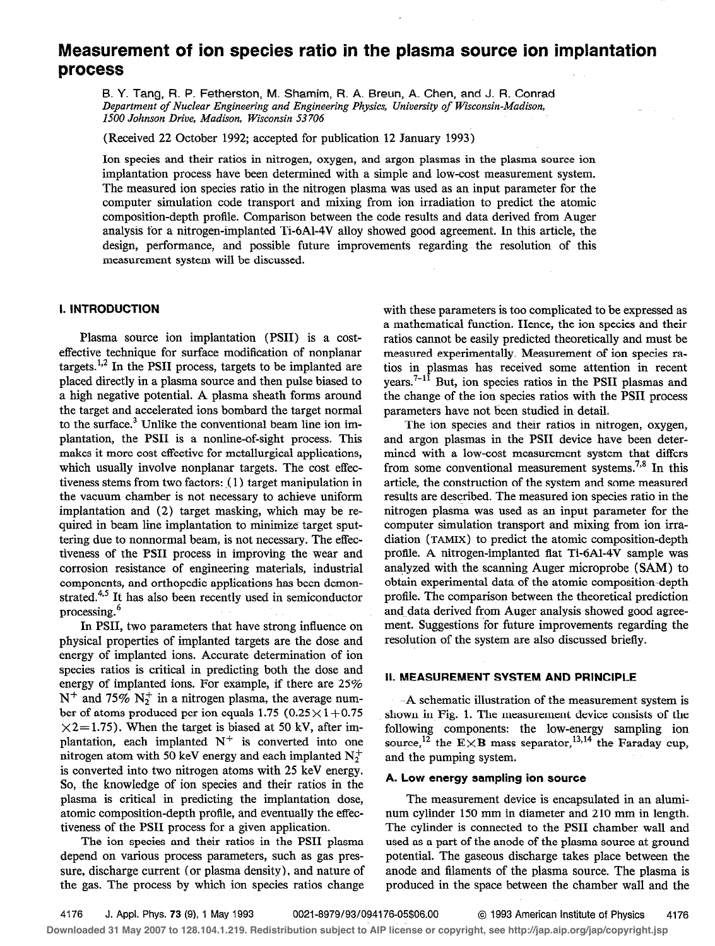# Measurement of ion species ratio in the plasma source ion implantation process

B. Y. Tang, R. P. Fetherston, M. Shamim, R. A. Breun, A. Chen, and J. R. Conrad Department of Nuclear Engineering and Engineering Physics, University of Wisconsin-Madison, 1500 Johnson Drive, Madison, Wisconsin 53706

(Received 22 October 1992; accepted for publication 12 January 1993)

Ion species and their ratios in nitrogen, oxygen, and argon plasmas in the plasma source ion implantation process have been determined with a simple and low-cost measurement system. The measured ion species ratio in the nitrogen plasma was used as an input parameter for the computer simulation code transport and mixing from ion irradiation to predict the atomic composition-depth profile. Comparison between the code results and data derived from Auger analysis for a nitrogen-implanted Ti-6Al-4V alloy showed good agreement. In this article, the design, performance, and possible future improvements regarding the resolution of this measurement system will be discussed.

# I. INTRODUCTION

Plasma source ion implantation (PSII) is a costeffective technique for surface modification of nonplanar targets. $^{1,2}$  In the PSII process, targets to be implanted are placed directly in a plasma source and then pulse biased to a high negative potential. A plasma sheath forms around the target and accelerated ions bombard the target normal to the surface.<sup>3</sup> Unlike the conventional beam line ion implantation, the PSI1 is a nonline-of-sight process. This makes it more cost effective for metallurgical applications, which usually involve nonplanar targets. The cost effectiveness stems from two factors:  $(1)$  target manipulation in the vacuum chamber is not necessary to achieve uniform implantation and (2) target masking, which may be required in beam line implantation to minimize target sputtering due to nonnormal beam, is not necessary. The effectiveness of the PSI1 process in improving the wear and corrosion resistance of engineering materials, industrial components, and orthopedic applications has been demonstrated.<sup>4,5</sup> It has also been recently used in semiconductor processing.<sup>6</sup>

In PSII, two parameters that have strong influence on physical properties of implanted targets are the dose and energy of implanted ions. Accurate determination of ion species ratios is critical in predicting both the dose and energy of implanted ions. For example, if there are 25%  $N^+$  and 75%  $N_2^+$  in a nitrogen plasma, the average number of atoms produced per ion equals 1.75 ( $0.25 \times 1+0.75$ )  $\times$ 2=1.75). When the target is biased at 50 kV, after implantation, each implanted  $N^+$  is converted into one nitrogen atom with 50 keV energy and each implanted  $N_2^+$ is converted into two nitrogen atoms with 25 keV energy. So, the knowledge of ion species and their ratios in the plasma is critical in predicting the implantation dose, atomic composition-depth profile, and eventually the effectiveness of the PSI1 process for a given application.

The ion species and their ratios in the PSI1 plasma depend on various process parameters, such as gas pressure, discharge current (or plasma density), and nature of the gas. The process by which ion species ratios change

with these parameters is too complicated to be expressed as a mathematical function. Hence, the ion species and their ratios cannot be easily predicted theoretically and must be measured experimentally. Measurement of ion species ratios in plasmas has received some attention in recent years.<sup> $7-1\overline{1}$ </sup> But, ion species ratios in the PSII plasmas and the change of the ion species ratios with the PSI1 process parameters have not been studied in detail.

The ion species and their ratios in nitrogen, oxygen, and argon plasmas in the PSI1 device have been determined with a low-cost measurement system that differs from some conventional measurement systems.<sup>7,8</sup> In this article, the construction of the system and some measured results are described. The measured ion species ratio in the nitrogen plasma was used as an input parameter for the computer simulation transport and mixing from ion irradiation (TAMIX) to predict the atomic composition-depth protile. A nitrogen-implanted flat Ti-6Al-4V sample was analyzed with the scanning Auger microprobe (SAM) to obtain experimental data of the atomic composition-depth profile. The comparison between the theoretical prediction and data derived from Auger analysis showed good agreement. Suggestions for future improvements regarding the resolution of the system are also discussed briefly.

# II. MEASUREMENT SYSTEM AND PRINCIPLE

-A schematic illustration of the measurement system is shown in Fig. 1. The measurement device consists of the following components: the low-energy sampling ion source,<sup>12</sup> the E $\times$ B mass separator,<sup>13,14</sup> the Faraday cup, and the pumping system.

# A. Low energy sampling ion source

The measurement device is encapsulated in an aluminum cylinder 150 mm in diameter and 210 mm in length. The cylinder is connected to the PSI1 chamber wall and used as a part of the anode of the plasma source at ground potential. The gaseous discharge takes place between the anode and filaments of the plasma source. The plasma is produced in the space between the chamber wall and the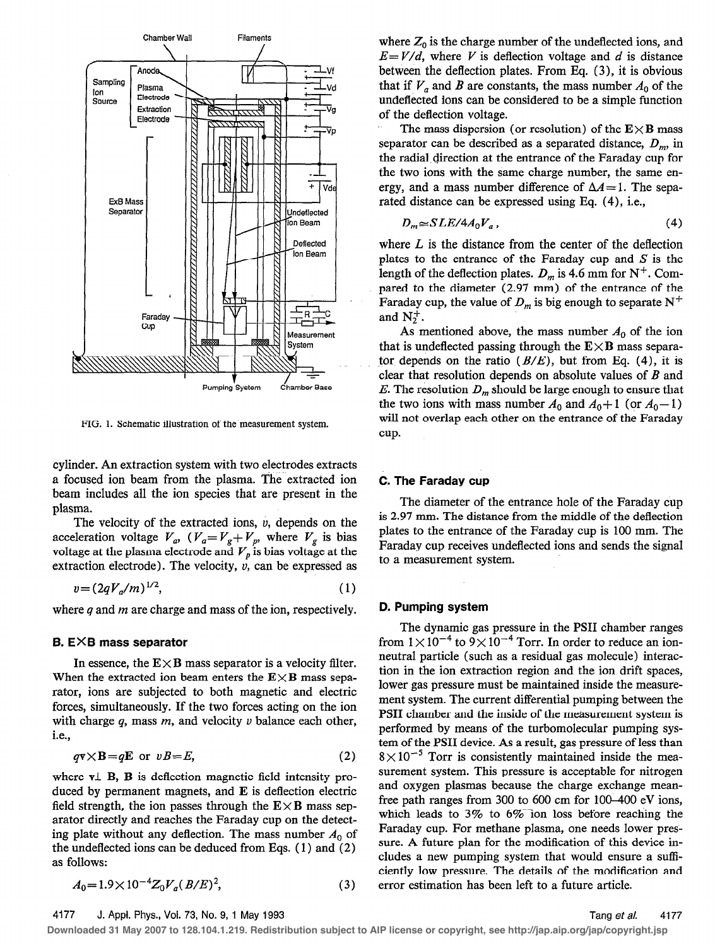

FIG. 1. Schematic illustration of the measurement system.

cylinder. An extraction system with two electrodes extracts a focused ion beam from the plasma. The extracted ion beam includes all the ion species that are present in the plasma.

The velocity of the extracted ions,  $v$ , depends on the acceleration voltage  $V_a$ ,  $(V_a=V_g+V_p)$ , where  $V_g$  is bias voltage at the plasma electrode and  $\boldsymbol{V}_p$  is bias voltage at the extraction electrode). The velocity,  $v$ , can be expressed as

$$
v = (2qV_a/m)^{1/2},\tag{1}
$$

where  $q$  and  $m$  are charge and mass of the ion, respectively.

#### B. EXB mass separator

In essence, the  $E \times B$  mass separator is a velocity filter. When the extracted ion beam enters the  $E \times B$  mass separator, ions are subjected to both magnetic and electric forces, simultaneously. If the two forces acting on the ion with charge  $q$ , mass  $m$ , and velocity  $\nu$  balance each other, I.e.,

$$
q\mathbf{v} \times \mathbf{B} = q\mathbf{E} \text{ or } vB = E,
$$
 (2)

where  $v \perp B$ ,  $B$  is deflection magnetic field intensity produced by permanent magnets, and  $E$  is deflection electric field strength, the ion passes through the  $E \times B$  mass separator directly and reaches the Faraday cup on the detecting plate without any deflection. The mass number  $A_0$  of the undeflected ions can be deduced from Eqs. ( 1) and (2) as follows:

$$
A_0 = 1.9 \times 10^{-4} Z_0 V_a (B/E)^2,
$$
 (3)

where  $Z_0$  is the charge number of the undeflected ions, and  $E=V/d$ , where V is deflection voltage and d is distance between the deflection plates. From Eq. (3), it is obvious that if  $V_a$  and B are constants, the mass number  $A_0$  of the undeflected ions can be considered to be a simple function of the deflection voltage.

The mass dispersion (or resolution) of the  $E \times B$  mass separator can be described as a separated distance,  $D_m$ , in the radial,direction at the entrance of the Faraday cup for the two ions with the same charge number, the same energy, and a mass number difference of  $\Delta A = 1$ . The separated distance can be expressed using Eq. (4), i.e.,

$$
D_m \cong SLE/4A_0V_a \,, \tag{4}
$$

where  $L$  is the distance from the center of the deflection plates to the entrance of the Faraday cup and  $S$  is the length of the deflection plates.  $D_m$  is 4.6 mm for N<sup>+</sup>. Compared to the diameter (2.97 mm) of the entrance of the Faraday cup, the value of  $D_m$  is big enough to separate N<sup>+</sup> and  $N_2^+$ .

As mentioned above, the mass number  $A_0$  of the ion that is undeflected passing through the  $E \times B$  mass separator depends on the ratio  $(B/E)$ , but from Eq. (4), it is clear that resolution depends on absolute values of  $B$  and E. The resolution  $D_m$  should be large enough to ensure that the two ions with mass number  $A_0$  and  $A_0+1$  (or  $A_0-1$ ) will not overlap each other on the entrance of the Faraday cup.

# C. The Faraday cup

The diameter of the entrance hole of the Faraday cup is 2.97 mm. The distance from the middle of the deflection plates to the entrance of the Faraday cup is 100 mm. The Faraday cup receives undeflected ions and sends the signal to a measurement system.

## D. Pumping system

The dynamic gas pressure in the PSI1 chamber ranges from  $1\times 10^{-4}$  to  $9\times 10^{-4}$  Torr. In order to reduce an ionneutral particle (such as a residual gas molecule) interaction in the ion extraction region and the ion drift spaces, lower gas pressure must be maintained inside the measurement system. The current differential pumping between the PSI1 chamber and the inside of the measurement system is performed by means of the turbomolecular pumping system of the PSII device. As a result, gas pressure of less than  $8\times10^{-5}$  Torr is consistently maintained inside the measurement system. This pressure is acceptable for nitrogen and oxygen plasmas because the charge exchange meanfree path ranges from 300 to 600 cm for 100-400 eV ions, which leads to  $3\%$  to  $6\%$  ion loss before reaching the Faraday cup. For methane plasma, one needs lower pressure. A future plan for the modification of this device includes a new pumping system that would ensure a sufficiently low pressure. The details of the modification and error estimation has been left to a future article.

4177 J. Appl. Phys., Vol. 73, No. 9, I May 1993

**Downloaded 31 May 2007 to 128.104.1.219. Redistribution subject to AIP license or copyright, see http://jap.aip.org/jap/copyright.jsp**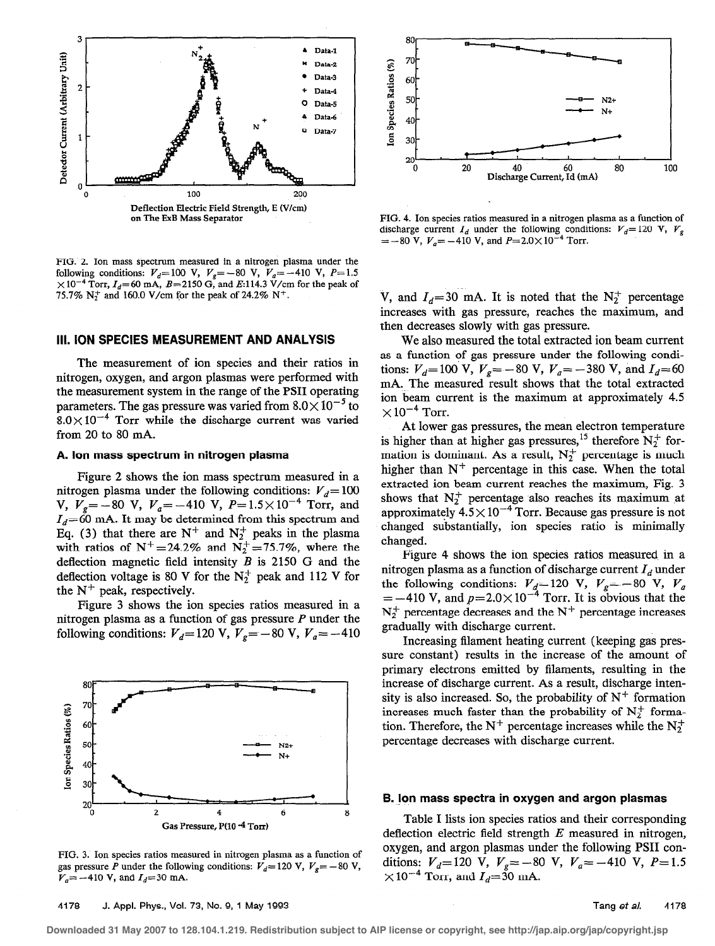

FIG. 2. Ion mass spectrum measured in a nitrogen plasma under the following conditions:  $V_d=100 \text{ V}$ ,  $V_g=-80 \text{ V}$ ,  $V_a=-410 \text{ V}$ ,  $P=1.5$  $\times 10^{-4}$  Torr,  $I_d$ =60 mA, B=2150 G, and E:114.3 V/cm for the peak of 75.7%  $N_2^+$  and 160.0 V/cm for the peak of 24.2%  $N^+$ .

# Ill. ION SPECIES MEASUREMENT AND ANALYSIS

The measurement of ion species and their ratios in nitrogen, oxygen, and argon plasmas were performed with the measurement system in the range of the PSI1 operating parameters. The gas pressure was varied from  $8.0\times10^{-5}$  to  $8.0\times10^{-4}$  Torr while the discharge current was varied from 20 to 80 mA.

# A. Ion mass spectrum in nitrogen plasma

Figure 2 shows the ion mass spectrum measured in a nitrogen plasma under the following conditions:  $V_d= 100$ V,  $V_g = -80$  V,  $V_g = -410$  V,  $P = 1.5 \times 10^{-4}$  Torr, and  $I_d=60$  mA. It may be determined from this spectrum and Eq. (3) that there are  $N^+$  and  $N_2^+$  peaks in the plasma with ratios of  $N^+=24.2\%$  and  $N^+_2=75.7\%$ , where the deflection magnetic field intensity  $B$  is 2150 G and the deflection voltage is 80 V for the  $N_2^+$  peak and 112 V for the  $N^{+}$  peak, respectively.

Figure 3 shows the ion species ratios measured in a nitrogen plasma as a function of gas pressure  $P$  under the following conditions:  $V_d$ =120 V,  $V_g$ = -80 V,  $V_g$ = -410



FIG. 3. Ion species ratios measured in nitrogen plasma as a function of gas pressure P under the following conditions:  $V_d$ = 120 V,  $V_s$ = -80 V,  $V_a = -410$  V, and  $I_d = 30$  mA.



FIG. 4. Ion species ratios measured in a nitrogen plasma as a function of discharge current  $I_d$  under the following conditions:  $V_d$ = 120 V,  $V_g$  $=-80$  V,  $V_a = -410$  V, and  $P=2.0\times10^{-4}$  Torr.

V, and  $I_d=30$  mA. It is noted that the N<sub>2</sub><sup>+</sup> percentage increases with gas pressure, reaches the maximum, and then decreases slowly with gas pressure.

We also measured the total extracted ion beam current as a function of gas pressure under the following conditions:  $V_d$ = 100 V,  $V_g$ = -80 V,  $V_g$ = -380 V, and  $I_d$ = 60 mA. The measured result shows that the total extracted ion beam current is the maximum at approximately 4.5  $\times 10^{-4}$  Torr.

At lower gas pressures, the mean electron temperature is higher than at higher gas pressures,<sup>15</sup> therefore  $N_2^+$  formation is dominant. As a result,  $N_2^+$  percentage is much higher than  $N^+$  percentage in this case. When the total extracted ion beam current reaches the maximum, Fig. 3 shows that  $N_2^+$  percentage also reaches its maximum at approximately  $4.5 \times 10^{-4}$  Torr. Because gas pressure is not changed substantially, ion species ratio is minimally changed.

Figure 4 shows the ion species ratios measured in a nitrogen plasma as a function of discharge current  $I_d$  under the following conditions:  $V_d$ =120 V,  $V_g$ = -80 V,  $V_g$  $=-410$  V, and  $p=2.0\times10^{-4}$  Torr. It is obvious that the  $N_2^+$  percentage decreases and the  $N^+$  percentage increases gradually with discharge current.

Increasing filament heating current (keeping gas pressure constant) results in the increase of the amount of primary electrons emitted by filaments, resulting in the increase of discharge current. As a result, discharge intensity is also increased. So, the probability of  $N^+$  formation increases much faster than the probability of  $N_2^+$  formation. Therefore, the N<sup>+</sup> percentage increases while the N<sup>+</sup> percentage decreaseswith discharge current.

#### 6. ion mass spectra in oxygen and argon plasmas

Table I lists ion species ratios and their corresponding deflection electric field strength  $E$  measured in nitrogen, oxygen, and argon plasmas under the following PSI1 conditions:  $V_d$ =120 V,  $V_e$ =-80 V,  $V_a$ =-410 V, P=1.  $\times 10^{-4}$  Torr, and  $I_d{=}30$  mA

**Downloaded 31 May 2007 to 128.104.1.219. Redistribution subject to AIP license or copyright, see http://jap.aip.org/jap/copyright.jsp**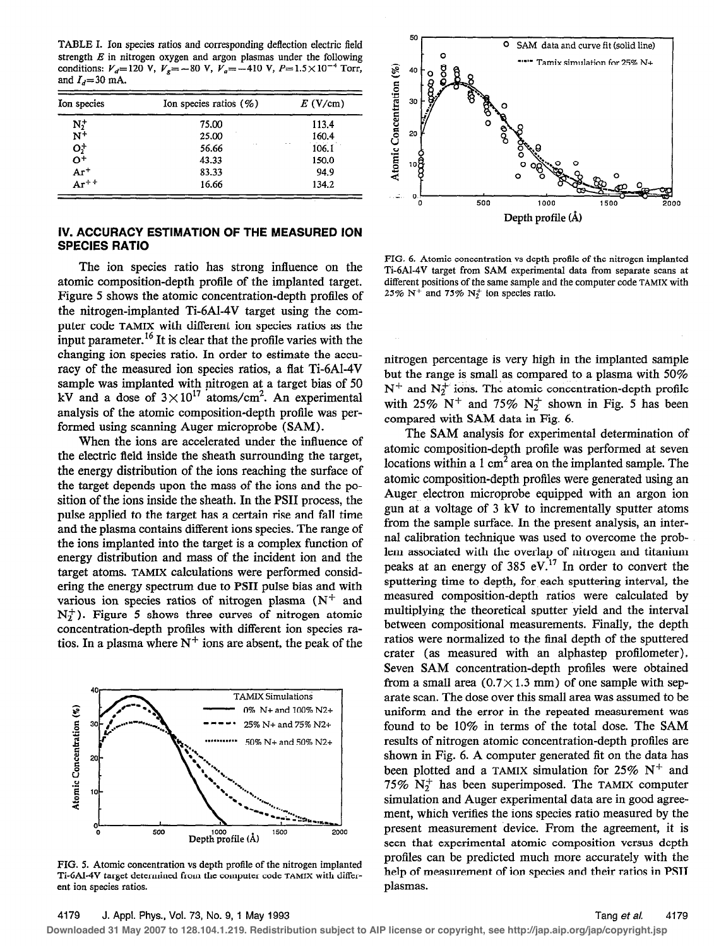TABLE I. Ion species ratios and corresponding deflection electric field strength  $E$  in nitrogen oxygen and argon plasmas under the following conditions:  $V_d$ = 120 V,  $V_g$ = -80 V,  $V_g$ = -410 V,  $P = 1.5 \times 10^{-4}$  Torr, and  $I_d$ =30 mA.

| Ion species         | Ion species ratios $(\% )$ | $E$ (V/cm)   |
|---------------------|----------------------------|--------------|
|                     | 75.00                      | 113.4        |
| $N_2^+$<br>$N^+$    | 25.00                      | 160.4        |
| $O_2^+$             | 56.66                      | . .<br>106.1 |
|                     | 43.33                      | 150.0        |
| $Ar^+$<br>$Ar^{++}$ | 83.33                      | 94.9         |
|                     | 16.66                      | 134.2        |

# IV. ACCURACY ESTIMATION OF THE MEASURED ION SPECIES RATIO

The ion species ratio has strong influence on the atomic composition-depth profile of the implanted target. Figure 5 shows the atomic concentration-depth profiles of the nitrogen-implanted Ti-6AL4V target using the computer code TAMIX with different ion species ratios as the input parameter.<sup>16</sup> It is clear that the profile varies with the changing ion species ratio. In order to estimate the accuracy of the measured ion species ratios, a flat Ti-6A1-4V sample was implanted with nitrogen at a target bias of 50 kV and a dose of  $3 \times 10^{17}$  atoms/cm<sup>2</sup>. An experimental analysis of the atomic composition-depth profile was performed using scanning Auger microprobe (SAM).

When the ions are accelerated under the influence of the electric field inside the sheath surrounding the target, the energy distribution of the ions reaching the surface of the target depends upon the mass of the ions and the position of the ions inside the sheath. In the PSI1 process, the pulse applied to the target has a certain rise and fall time and the plasma contains different ions species.The range of the ions implanted into the target is a complex function of energy distribution and mass of the incident ion and the target atoms. TAMIX calculations were performed considering the energy spectrum due to PSI1 pulse bias and with various ion species ratios of nitrogen plasma  $(N^+$  and  $N_2^+$ ). Figure 5 shows three curves of nitrogen atomic concentration-depth profiles with different ion species ratios. In a plasma where  $N^+$  ions are absent, the peak of the



FIG. 5. Atomic concentration vs depth profile of the nitrogen implanted Ti-6Al-4V target determined from the computer code TAMIX with different ion species ratios.



FIG. 6. Atomic concentration vs depth profile of the nitrogen implanted Ti-6Al-4V target from SAM experimental data from separate scans at different positions of the same sample and the computer code TAMIX with 25%  $N^+$  and 75%  $N^+$  ion species ratio.

nitrogen percentage is very high in the implanted sample but the range is small as compared to a plasma with 50%  $N^+$  and  $N_2^+$  ions. The atomic concentration-depth profile with 25%  $N^+$  and 75%  $N_2^+$  shown in Fig. 5 has been compared with SAM data in Fig. 6.

The SAM analysis for experimental determination of atomic composition-depth profile was performed at seven locations within a 1  $\text{cm}^2$  area on the implanted sample. The atomic composition-depth profiles were generated using an Auger electron microprobe equipped with an argon ion gun at a voltage of 3 kV to incrementally sputter atoms from the sample surface. In the present analysis, an internal calibration technique was used to overcome the problem associated with the overlap of nitrogen and titanium peaks at an energy of 385 eV.<sup>17</sup> In order to convert the sputtering time to depth, for each sputtering interval, the measured composition-depth ratios were calculated by multiplying the theoretical sputter yield and the interval between compositional measurements, Finally, the depth ratios were normalized to the final depth of the sputtered crater (as measured with an alphastep profilometer). Seven SAM concentration-depth profiles were obtained from a small area  $(0.7 \times 1.3 \text{ mm})$  of one sample with separate scan. The dose over this small area was assumed to be uniform and the error in the repeated measurement was found to be 10% in terms of the total dose. The SAM results of nitrogen atomic concentration-depth profiles are shown in Fig. 6. A computer generated fit on the data has been plotted and a TAMIX simulation for 25%  $N^+$  and 75%  $N_2^+$  has been superimposed. The TAMIX computer simulation and Auger experimental data are in good agreement, which verifies the ions species ratio measured by the present measurement device. From the agreement, it is seen that experimental atomic composition versus depth profiles can be predicted much more accurately with the help of measurement of ion species and their ratios in PSI1 plasmas.

**Downloaded 31 May 2007 to 128.104.1.219. Redistribution subject to AIP license or copyright, see http://jap.aip.org/jap/copyright.jsp**